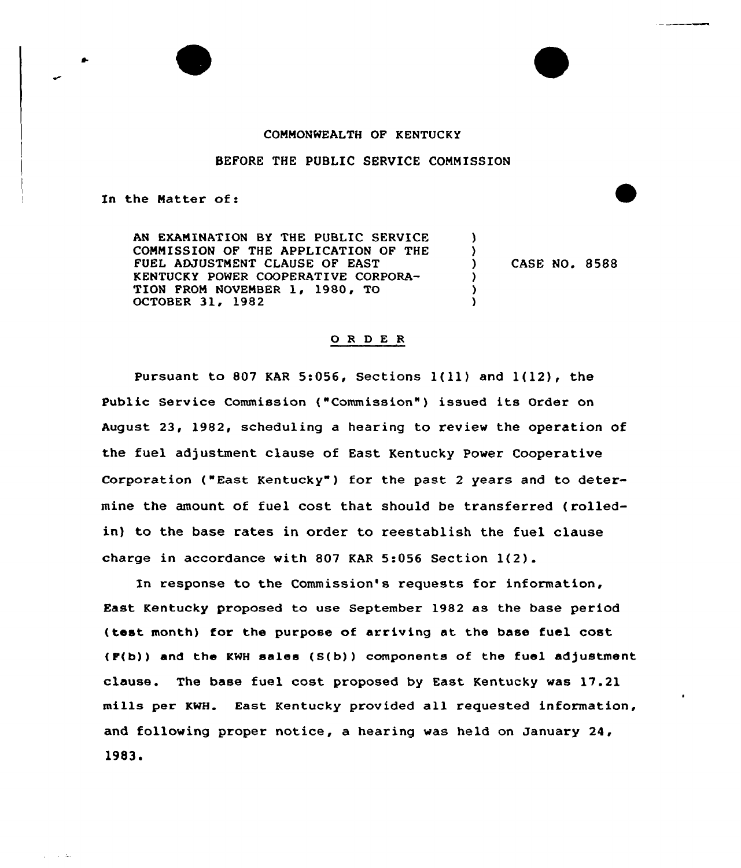#### COMMONWEALTH OF KENTUCKY

## BEFORE THE PUBLIC SERVICE COMMISSION

In the Matter of:

 $\sim 10^{11}$  Mas

AN EXAMINATION BY THE PUBLIC SERVICE COMNISSION OF THE APPLICATION OF THE FUEL ADJUSTNENT CLAUSE OF EAST KENTUCKY POWER COOPERATIVE CORPORA-TION PRON NOVEMBER 1, 1980, TO OCTOBER 31, 1982

) CASE NO. 8588

) )<br>)

 $\lambda$ } )

#### 0 <sup>R</sup> <sup>D</sup> <sup>E</sup> <sup>R</sup>

Pursuant to 807 KAR 5:056, Sections  $1(11)$  and  $1(12)$ , the Public Service Commission ("Commission" ) issued its Order on August 23, 1982, scheduling a hearing to review the operation of the fuel adjustment clause of East Kentucky Power Cooperative Corporation ("East Kentucky" ) for the past <sup>2</sup> years and to determine the amount of fuel cost that should be transferred ( rolledin) to the base rates in order to reestablish the fuel clause charge in accordance with 807 KAR 5:056 Section 1(2).

In response to the Commission's requests for information, East Kentucky proposed to use September 1982 as the base period (test month) for the purpose of arriving at the base fuel cost (F(b) ) and the KWH sales (S(b) ) components of the fuel adjustment clause. The base fuel cost proposed by East Kentucky was 17.21 mills per KwH. East Kentucky provided all requested information, and following proper notice, a hearing was held on January 24, 1983.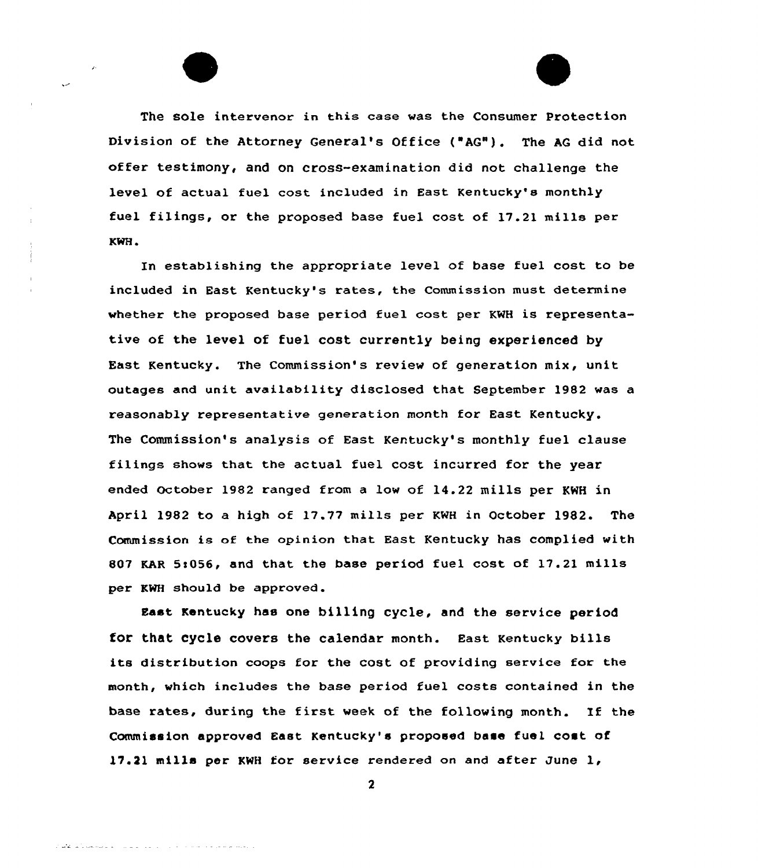The Sole intervenor in this case was the Consumer Protection Division of the Attorney General's Office ("AG"). The AG did not offer testimony, and on cross-examination did not challenge the level of actual fuel cost included in East Kentucky's monthly fuel filings, or the proposed base fuel cost of 17.21 mills per KWH.

In establishing the appropriate level of base fuel cost to be included in East Kentucky's rates, the Commission must determine whether the proposed base period fuel cost per KNH is representative of the level of fuel cost currently being experienced by East Kentucky. The Commission's review of generation mix, unit outages and unit availability disclosed that September 1982 was a reasonably representative generation month for East Kentucky, The Commission's analysis of East Kentucky's monthly fuel clause filings shows that the actual fuel cost incurred for the year ended October 1982 ranged from a low of 14.22 mills per KWH in April 1982 to a high of 17.77 mills per KWH in October 1982. The Commission is of the opinion that East Kentucky has complied with 807 KAR 5t056, and that the base period fuel cost of 17.21 mills per KWH should be approved.

East Kentucky has one billing cycle, and the service period for that cycle covers the calendar month. East Kentucky bills its distribution coops for the cost of providing service for the month, which includes the base period fuel costs contained in the base rates, during the first week of the following month. If the Commission approved East Kentucky's proposed base fuel cost of 17.ll mills per KWH for service rendered on and after June 1,

 $\boldsymbol{2}$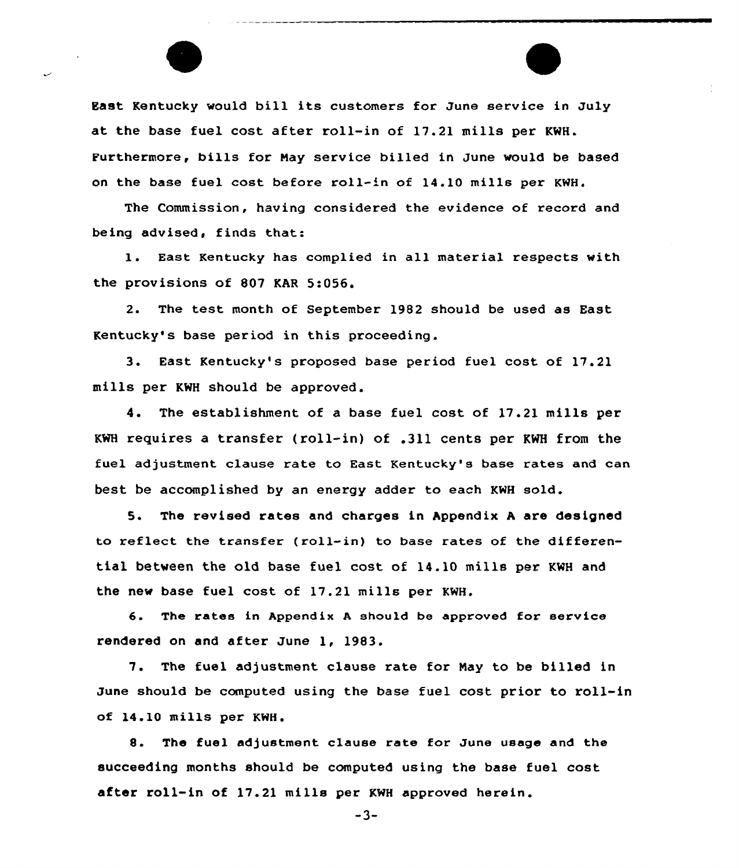East Kentucky would bill its customers for June service in July at the base fuel cost after roll-in of 17.21 mills per KWH. Purthermore, bills for Nay service billed in June would be based on the base fuel cost before roll-in of 14.10 mills per KWH.

The Commission, having considered the evidence of record and being advised, finds that:

l. East Kentucky has complied in all material respects with the provisions of 807 KAR 5:056.

2. The test month of September 1982 should be used as East Kentucky's base period in this proceeding.

3. East Kentucky's proposed base period fuel cost of 17.21 mills per KWH should be approved.

4. The establishment of a base fuel cost of 17.21 mills per KWH requires a transfer (roll-in) of .311 cents per KWH from the fuel adjustment clause rate to East Kentucky's base rates and can best be accomplished by an energy adder to each KWH sold.

5. The revised rates and charges in Appendix A are designed to reflect the transfer (roll-in} to base rates of the differential between the old base fuel cost of 14.10 mills per KWH and the new base fuel cost of 17.21 mills per KWH.

6. The rates in Appendix <sup>A</sup> should be approved for service rendered on and after June 1, 1983.

7. The fuel adjustment clause rate for May to be billed in June should be computed using the base fuel cost prior to roll-in of 14.10 mills per KWH.

8. The fuel adjustment clause rate for June usage and the succeeding months should be computed using the base fuel cost after roll-in of 17.21 mills per KWH approved herein.

-3-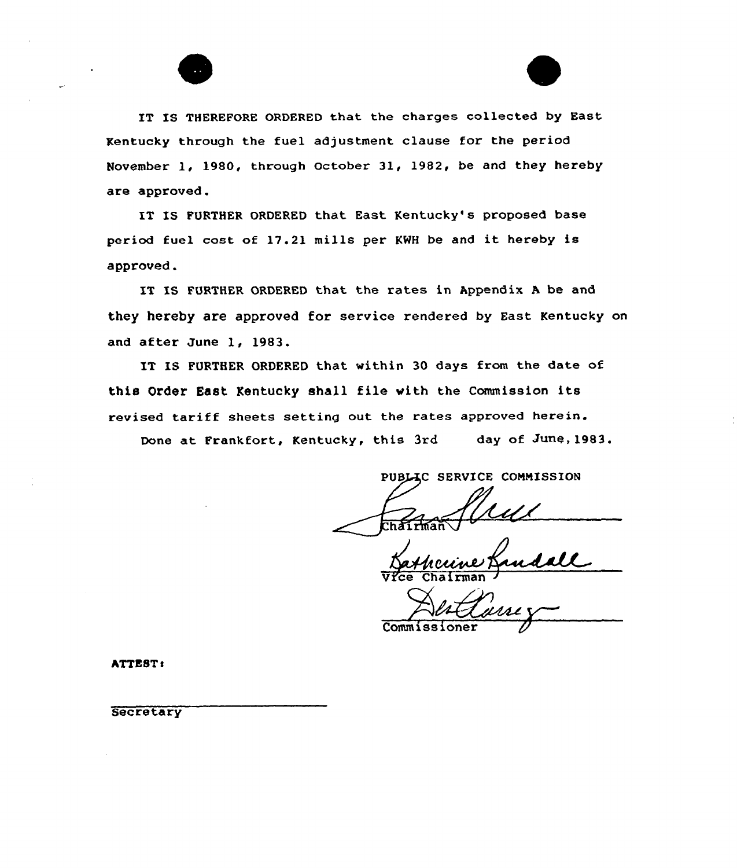IT IS THEREFORE ORDERED that the charges collected by East Kentucky through the fuel adjustment clause for the period November 1, 1980, through October 31, 1982, be and they hereby are approved.

IT IS FURTHER ORDERED that East Kentucky's proposed base period fuel cost of 17.21 mills per KWH be and it hereby is approved.

IT IS FURTHER ORDERED that the rates in Appendix A be and they hereby are approved for service rendered by East Kentucky on and after June 1, 1983.

IT IS FURTHER ORDERED that within 30 days from the date of this Order East Kentucky shall file vith the Commission its revised tariff sheets setting out the rates approved herein.

Done at Frankfort, Kentucky, this 3rd day of June, 1983.

PUBLIC SERVICE COMMISSION

<u>cume</u> Vice Chairman /

Commiss

ATTEST:

**Secretary**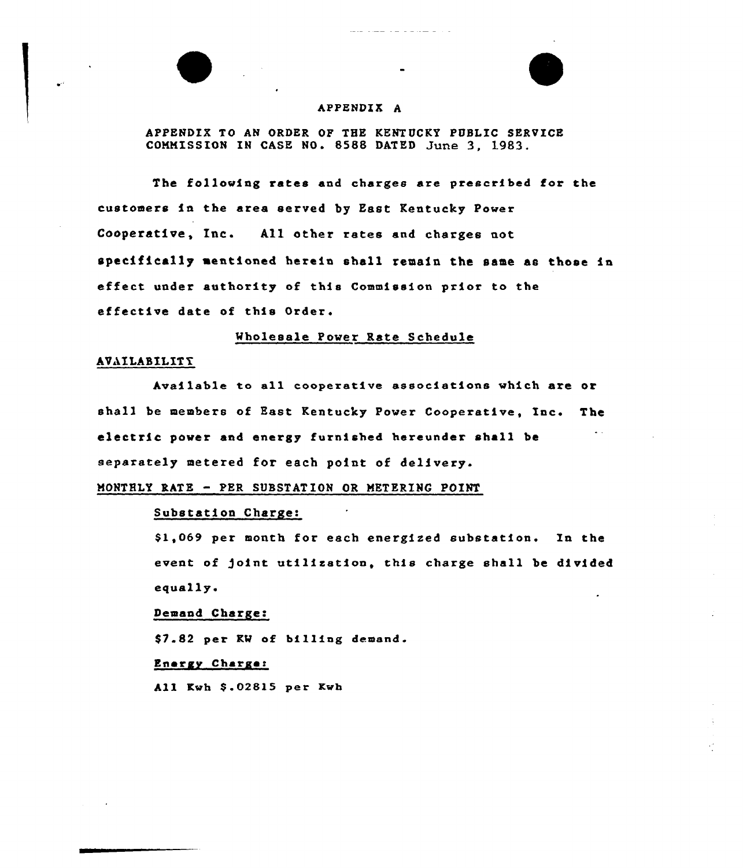

## APPENDIX A

APPENDIX TO AN ORDER OF THE KENTUCKY PUBLIC SERVICE COMMISSION IN CASE NO. 8588 DATED June 3, 1983.

The following rates and charges are prescribed for the customers in the area served by East Kentucky Power Cooperative, Inc. All other rates and charges not specifically mentioned herein shall remain the same as those in effect under authority of this Commission prior to the effective date of this Order.

wholesale Power Rate Schedule

## AVAILABILITY

Available to all cooperative associations which are or shall be members of East Kentucky Power Cooperative, Ines The electric power and energy furnished hereunder shall be separately metered for each point of delivery.

MONTHLY RATE - PER SUBSTAT ION OR METERING POINT

## Substation Charge:

\$ 1,069 per month for each energised substation. In the event of )oint utilisatioa, this charge shall be divided equally.

## Demand Charge:

\$7.82 per KW of billing demand.

#### Energy Charge:

All Kwh \$.02815 per Kwh